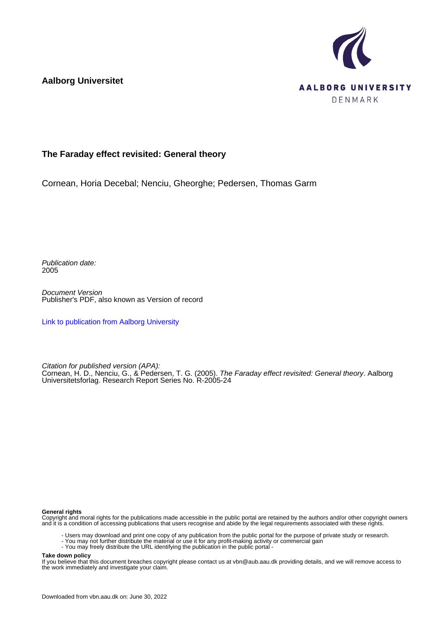**Aalborg Universitet**



## **The Faraday effect revisited: General theory**

Cornean, Horia Decebal; Nenciu, Gheorghe; Pedersen, Thomas Garm

Publication date: 2005

Document Version Publisher's PDF, also known as Version of record

[Link to publication from Aalborg University](https://vbn.aau.dk/en/publications/57e70160-9ee4-11da-917e-000ea68e967b)

Citation for published version (APA): Cornean, H. D., Nenciu, G., & Pedersen, T. G. (2005). The Faraday effect revisited: General theory. Aalborg Universitetsforlag. Research Report Series No. R-2005-24

#### **General rights**

Copyright and moral rights for the publications made accessible in the public portal are retained by the authors and/or other copyright owners and it is a condition of accessing publications that users recognise and abide by the legal requirements associated with these rights.

- Users may download and print one copy of any publication from the public portal for the purpose of private study or research.
- You may not further distribute the material or use it for any profit-making activity or commercial gain
- You may freely distribute the URL identifying the publication in the public portal -

#### **Take down policy**

If you believe that this document breaches copyright please contact us at vbn@aub.aau.dk providing details, and we will remove access to the work immediately and investigate your claim.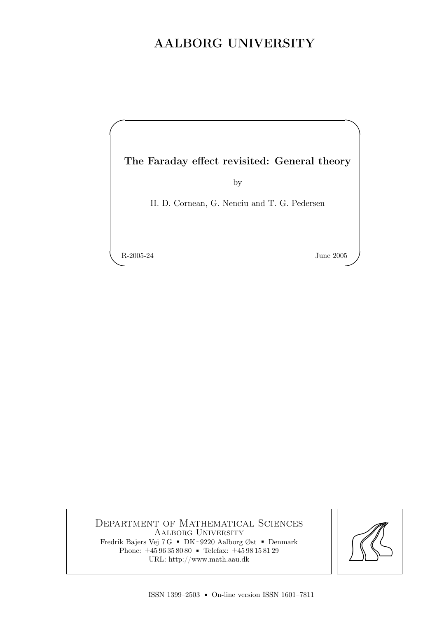# AALBORG UNIVERSITY

The Faraday effect revisited: General theory

by

H. D. Cornean, G. Nenciu and T. G. Pedersen

R-2005-24 June 2005

✫

✬

Department of Mathematical Sciences Aalborg University Fredrik Bajers Vej 7 G = DK - 9220 Aalborg Øst = Denmark Phone:  $+4596358080$  Telefax:  $+4598158129$ <br>URL: http://www.math.aau.dk

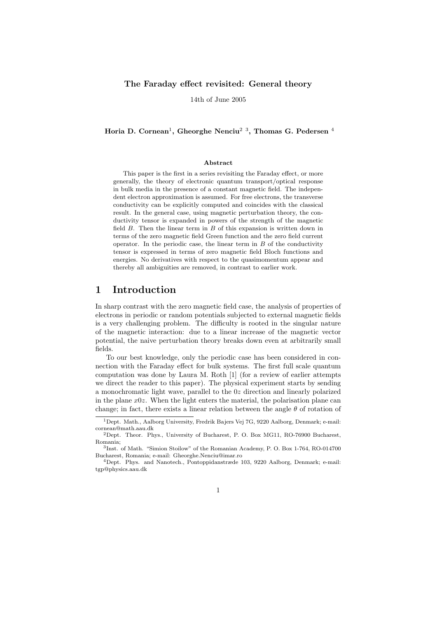#### The Faraday effect revisited: General theory

14th of June 2005

Horia D. Cornean<sup>1</sup>, Gheorghe Nenciu<sup>2</sup><sup>3</sup>, Thomas G. Pedersen<sup>4</sup>

#### Abstract

This paper is the first in a series revisiting the Faraday effect, or more generally, the theory of electronic quantum transport/optical response in bulk media in the presence of a constant magnetic field. The independent electron approximation is assumed. For free electrons, the transverse conductivity can be explicitly computed and coincides with the classical result. In the general case, using magnetic perturbation theory, the conductivity tensor is expanded in powers of the strength of the magnetic field  $B$ . Then the linear term in  $B$  of this expansion is written down in terms of the zero magnetic field Green function and the zero field current operator. In the periodic case, the linear term in  $B$  of the conductivity tensor is expressed in terms of zero magnetic field Bloch functions and energies. No derivatives with respect to the quasimomentum appear and thereby all ambiguities are removed, in contrast to earlier work.

### 1 Introduction

In sharp contrast with the zero magnetic field case, the analysis of properties of electrons in periodic or random potentials subjected to external magnetic fields is a very challenging problem. The difficulty is rooted in the singular nature of the magnetic interaction: due to a linear increase of the magnetic vector potential, the naive perturbation theory breaks down even at arbitrarily small fields.

To our best knowledge, only the periodic case has been considered in connection with the Faraday effect for bulk systems. The first full scale quantum computation was done by Laura M. Roth [1] (for a review of earlier attempts we direct the reader to this paper). The physical experiment starts by sending a monochromatic light wave, parallel to the 0z direction and linearly polarized in the plane  $x0z$ . When the light enters the material, the polarisation plane can change; in fact, there exists a linear relation between the angle  $\theta$  of rotation of

<sup>1</sup>Dept. Math., Aalborg University, Fredrik Bajers Vej 7G, 9220 Aalborg, Denmark; e-mail: cornean@math.aau.dk

<sup>2</sup>Dept. Theor. Phys., University of Bucharest, P. O. Box MG11, RO-76900 Bucharest, Romania;

<sup>3</sup> Inst. of Math. "Simion Stoilow" of the Romanian Academy, P. O. Box 1-764, RO-014700 Bucharest, Romania; e-mail: Gheorghe.Nenciu@imar.ro

<sup>4</sup>Dept. Phys. and Nanotech., Pontoppidanstræde 103, 9220 Aalborg, Denmark; e-mail: tgp@physics.aau.dk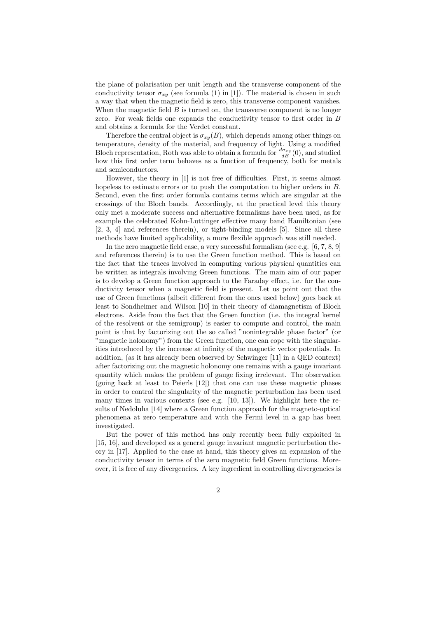the plane of polarisation per unit length and the transverse component of the conductivity tensor  $\sigma_{xx}$  (see formula (1) in [1]). The material is chosen in such a way that when the magnetic field is zero, this transverse component vanishes. When the magnetic field  $B$  is turned on, the transverse component is no longer zero. For weak fields one expands the conductivity tensor to first order in B and obtains a formula for the Verdet constant.

Therefore the central object is  $\sigma_{xy}(B)$ , which depends among other things on temperature, density of the material, and frequency of light. Using a modified Bloch representation, Roth was able to obtain a formula for  $\frac{d\sigma_{xy}}{dB}(0)$ , and studied how this first order term behaves as a function of frequency, both for metals and semiconductors.

However, the theory in [1] is not free of difficulties. First, it seems almost hopeless to estimate errors or to push the computation to higher orders in B. Second, even the first order formula contains terms which are singular at the crossings of the Bloch bands. Accordingly, at the practical level this theory only met a moderate success and alternative formalisms have been used, as for example the celebrated Kohn-Luttinger effective many band Hamiltonian (see [2, 3, 4] and references therein), or tight-binding models [5]. Since all these methods have limited applicability, a more flexible approach was still needed.

In the zero magnetic field case, a very successful formalism (see e.g. [6, 7, 8, 9] and references therein) is to use the Green function method. This is based on the fact that the traces involved in computing various physical quantities can be written as integrals involving Green functions. The main aim of our paper is to develop a Green function approach to the Faraday effect, i.e. for the conductivity tensor when a magnetic field is present. Let us point out that the use of Green functions (albeit different from the ones used below) goes back at least to Sondheimer and Wilson [10] in their theory of diamagnetism of Bloch electrons. Aside from the fact that the Green function (i.e. the integral kernel of the resolvent or the semigroup) is easier to compute and control, the main point is that by factorizing out the so called "nonintegrable phase factor" (or "magnetic holonomy") from the Green function, one can cope with the singularities introduced by the increase at infinity of the magnetic vector potentials. In addition, (as it has already been observed by Schwinger [11] in a QED context) after factorizing out the magnetic holonomy one remains with a gauge invariant quantity which makes the problem of gauge fixing irrelevant. The observation (going back at least to Peierls [12]) that one can use these magnetic phases in order to control the singularity of the magnetic perturbation has been used many times in various contexts (see e.g. [10, 13]). We highlight here the results of Nedoluha [14] where a Green function approach for the magneto-optical phenomena at zero temperature and with the Fermi level in a gap has been investigated.

But the power of this method has only recently been fully exploited in [15, 16], and developed as a general gauge invariant magnetic perturbation theory in [17]. Applied to the case at hand, this theory gives an expansion of the conductivity tensor in terms of the zero magnetic field Green functions. Moreover, it is free of any divergencies. A key ingredient in controlling divergencies is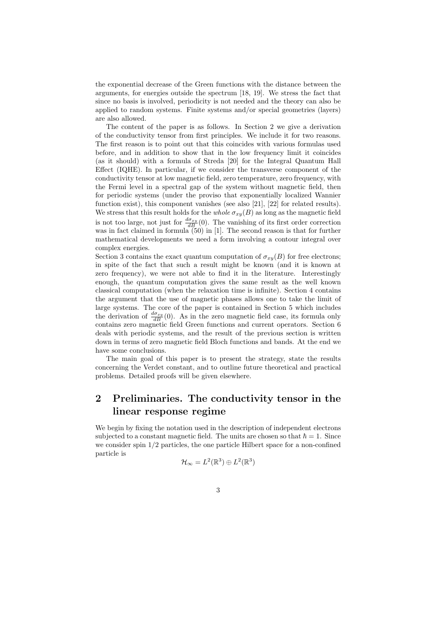the exponential decrease of the Green functions with the distance between the arguments, for energies outside the spectrum [18, 19]. We stress the fact that since no basis is involved, periodicity is not needed and the theory can also be applied to random systems. Finite systems and/or special geometries (layers) are also allowed.

The content of the paper is as follows. In Section 2 we give a derivation of the conductivity tensor from first principles. We include it for two reasons. The first reason is to point out that this coincides with various formulas used before, and in addition to show that in the low frequency limit it coincides (as it should) with a formula of Streda [20] for the Integral Quantum Hall Effect (IQHE). In particular, if we consider the transverse component of the conductivity tensor at low magnetic field, zero temperature, zero frequency, with the Fermi level in a spectral gap of the system without magnetic field, then for periodic systems (under the proviso that exponentially localized Wannier function exist), this component vanishes (see also [21], [22] for related results). We stress that this result holds for the whole  $\sigma_{xy}(B)$  as long as the magnetic field is not too large, not just for  $\frac{d\sigma_{xy}}{dB}(0)$ . The vanishing of its first order correction was in fact claimed in formula (50) in [1]. The second reason is that for further mathematical developments we need a form involving a contour integral over complex energies.

Section 3 contains the exact quantum computation of  $\sigma_{xy}(B)$  for free electrons; in spite of the fact that such a result might be known (and it is known at zero frequency), we were not able to find it in the literature. Interestingly enough, the quantum computation gives the same result as the well known classical computation (when the relaxation time is infinite). Section 4 contains the argument that the use of magnetic phases allows one to take the limit of large systems. The core of the paper is contained in Section 5 which includes the derivation of  $\frac{d\sigma_{xy}}{dB}(0)$ . As in the zero magnetic field case, its formula only contains zero magnetic field Green functions and current operators. Section 6 deals with periodic systems, and the result of the previous section is written down in terms of zero magnetic field Bloch functions and bands. At the end we have some conclusions.

The main goal of this paper is to present the strategy, state the results concerning the Verdet constant, and to outline future theoretical and practical problems. Detailed proofs will be given elsewhere.

## 2 Preliminaries. The conductivity tensor in the linear response regime

We begin by fixing the notation used in the description of independent electrons subjected to a constant magnetic field. The units are chosen so that  $\hbar = 1$ . Since we consider spin  $1/2$  particles, the one particle Hilbert space for a non-confined particle is

$$
\mathcal{H}_{\infty}=L^2(\mathbb{R}^3)\oplus L^2(\mathbb{R}^3)
$$

3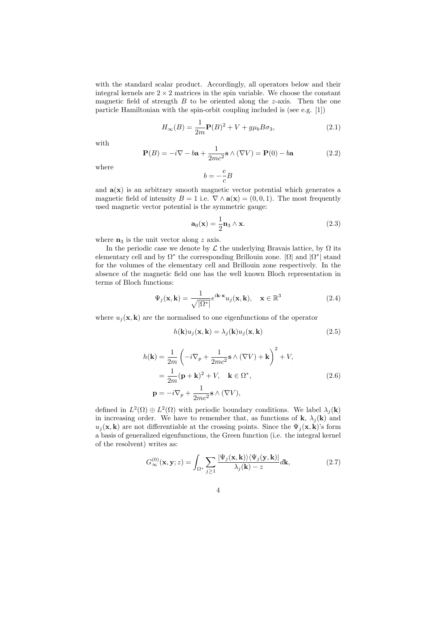with the standard scalar product. Accordingly, all operators below and their integral kernels are  $2 \times 2$  matrices in the spin variable. We choose the constant magnetic field of strength  $B$  to be oriented along the z-axis. Then the one particle Hamiltonian with the spin-orbit coupling included is (see e.g. [1])

$$
H_{\infty}(B) = \frac{1}{2m} \mathbf{P}(B)^2 + V + g\mu_b B\sigma_3,
$$
\n(2.1)

with

$$
\mathbf{P}(B) = -i\nabla - b\mathbf{a} + \frac{1}{2mc^2}\mathbf{s} \wedge (\nabla V) = \mathbf{P}(0) - b\mathbf{a}
$$
 (2.2)

where

$$
b=-\frac{e}{c}B
$$

and  $a(x)$  is an arbitrary smooth magnetic vector potential which generates a magnetic field of intensity  $B = 1$  i.e.  $\nabla \wedge \mathbf{a}(\mathbf{x}) = (0, 0, 1)$ . The most frequently used magnetic vector potential is the symmetric gauge:

$$
\mathbf{a}_0(\mathbf{x}) = \frac{1}{2}\mathbf{n}_3 \wedge \mathbf{x}.\tag{2.3}
$$

where  $n_3$  is the unit vector along z axis.

In the periodic case we denote by  $\mathcal L$  the underlying Bravais lattice, by  $\Omega$  its elementary cell and by  $\Omega^*$  the corresponding Brillouin zone.  $|\Omega|$  and  $|\Omega^*|$  stand for the volumes of the elementary cell and Brillouin zone respectively. In the absence of the magnetic field one has the well known Bloch representation in terms of Bloch functions:

$$
\Psi_j(\mathbf{x}, \mathbf{k}) = \frac{1}{\sqrt{|\Omega^*|}} e^{i\mathbf{k} \cdot \mathbf{x}} u_j(\mathbf{x}, \mathbf{k}), \quad \mathbf{x} \in \mathbb{R}^3
$$
\n(2.4)

where  $u_i(\mathbf{x}, \mathbf{k})$  are the normalised to one eigenfunctions of the operator

$$
h(\mathbf{k})u_j(\mathbf{x}, \mathbf{k}) = \lambda_j(\mathbf{k})u_j(\mathbf{x}, \mathbf{k})
$$
\n(2.5)

$$
h(\mathbf{k}) = \frac{1}{2m} \left( -i\nabla_p + \frac{1}{2mc^2} \mathbf{s} \wedge (\nabla V) + \mathbf{k} \right)^2 + V,
$$
  
= 
$$
\frac{1}{2m} (\mathbf{p} + \mathbf{k})^2 + V, \quad \mathbf{k} \in \Omega^*,
$$
  

$$
\mathbf{p} = -i\nabla_p + \frac{1}{2mc^2} \mathbf{s} \wedge (\nabla V),
$$
 (2.6)

defined in  $L^2(\Omega) \oplus L^2(\Omega)$  with periodic boundary conditions. We label  $\lambda_j(\mathbf{k})$ in increasing order. We have to remember that, as functions of **k**,  $\lambda_i(\mathbf{k})$  and  $u_j(\mathbf{x}, \mathbf{k})$  are not differentiable at the crossing points. Since the  $\Psi_j(\mathbf{x}, \mathbf{k})$ 's form a basis of generalized eigenfunctions, the Green function (i.e. the integral kernel of the resolvent) writes as:

$$
G_{\infty}^{(0)}(\mathbf{x}, \mathbf{y}; z) = \int_{\Omega^*} \sum_{j \ge 1} \frac{|\Psi_j(\mathbf{x}, \mathbf{k})\rangle \langle \Psi_j(\mathbf{y}, \mathbf{k})|}{\lambda_j(\mathbf{k}) - z} d\mathbf{k},\tag{2.7}
$$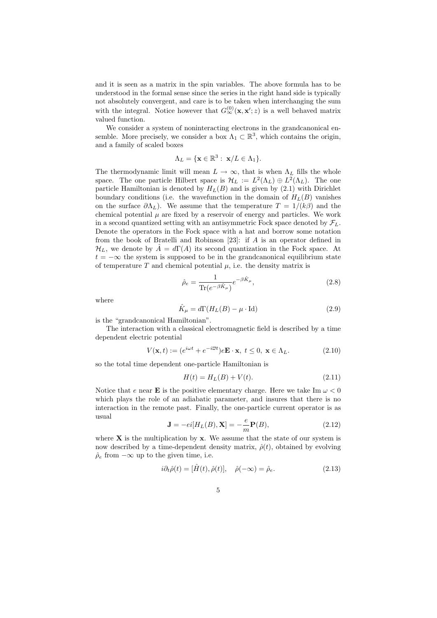and it is seen as a matrix in the spin variables. The above formula has to be understood in the formal sense since the series in the right hand side is typically not absolutely convergent, and care is to be taken when interchanging the sum with the integral. Notice however that  $G_{\infty}^{(0)}(\mathbf{x}, \mathbf{x}'; z)$  is a well behaved matrix valued function.

We consider a system of noninteracting electrons in the grandcanonical ensemble. More precisely, we consider a box  $\Lambda_1 \subset \mathbb{R}^3$ , which contains the origin, and a family of scaled boxes

$$
\Lambda_L = \{ \mathbf{x} \in \mathbb{R}^3 : \ \mathbf{x}/L \in \Lambda_1 \}.
$$

The thermodynamic limit will mean  $L \to \infty$ , that is when  $\Lambda_L$  fills the whole space. The one particle Hilbert space is  $\mathcal{H}_L := L^2(\Lambda_L) \oplus L^2(\Lambda_L)$ . The one particle Hamiltonian is denoted by  $H_L(B)$  and is given by  $(2.1)$  with Dirichlet boundary conditions (i.e. the wavefunction in the domain of  $H_L(B)$  vanishes on the surface  $\partial \Lambda_L$ ). We assume that the temperature  $T = 1/(k\beta)$  and the chemical potential  $\mu$  are fixed by a reservoir of energy and particles. We work in a second quantized setting with an antisymmetric Fock space denoted by  $\mathcal{F}_L$ . Denote the operators in the Fock space with a hat and borrow some notation from the book of Bratelli and Robinson [23]: if A is an operator defined in  $\mathcal{H}_L$ , we denote by  $A = d\Gamma(A)$  its second quantization in the Fock space. At  $t = -\infty$  the system is supposed to be in the grandcanonical equilibrium state of temperature T and chemical potential  $\mu$ , i.e. the density matrix is

$$
\hat{\rho}_e = \frac{1}{\text{Tr}(e^{-\beta \hat{K}_\mu})} e^{-\beta \hat{K}_\mu},\tag{2.8}
$$

where

$$
\hat{K}_{\mu} = d\Gamma(H_L(B) - \mu \cdot \text{Id})\tag{2.9}
$$

is the "grandcanonical Hamiltonian".

The interaction with a classical electromagnetic field is described by a time dependent electric potential

$$
V(\mathbf{x},t) := (e^{i\omega t} + e^{-i\overline{\omega}t})e\mathbf{E} \cdot \mathbf{x}, \ t \le 0, \ \mathbf{x} \in \Lambda_L.
$$
 (2.10)

so the total time dependent one-particle Hamiltonian is

$$
H(t) = HL(B) + V(t).
$$
 (2.11)

Notice that e near **E** is the positive elementary charge. Here we take Im  $\omega < 0$ which plays the role of an adiabatic parameter, and insures that there is no interaction in the remote past. Finally, the one-particle current operator is as usual

$$
\mathbf{J} = -ei[H_L(B), \mathbf{X}] = -\frac{e}{m}\mathbf{P}(B),\tag{2.12}
$$

where  $X$  is the multiplication by  $x$ . We assume that the state of our system is now described by a time-dependent density matrix,  $\hat{\rho}(t)$ , obtained by evolving  $\hat{\rho}_e$  from  $-\infty$  up to the given time, i.e.

$$
i\partial_t \hat{\rho}(t) = [\hat{H}(t), \hat{\rho}(t)], \quad \hat{\rho}(-\infty) = \hat{\rho}_e.
$$
 (2.13)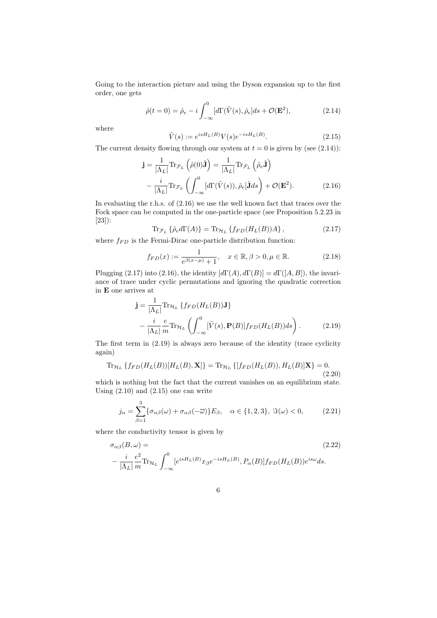Going to the interaction picture and using the Dyson expansion up to the first order, one gets

$$
\hat{\rho}(t=0) = \hat{\rho}_e - i \int_{-\infty}^0 [d\Gamma(\tilde{V}(s), \hat{\rho}_e]ds + \mathcal{O}(\mathbf{E}^2), \tag{2.14}
$$

where

$$
\tilde{V}(s) := e^{isH_L(B)} V(s) e^{-isH_L(B)}.
$$
\n(2.15)

The current density flowing through our system at  $t = 0$  is given by (see (2.14)):

$$
\mathbf{j} = \frac{1}{|\Lambda_L|} \text{Tr}_{\mathcal{F}_L} \left( \hat{\rho}(0) \hat{\mathbf{J}} \right) = \frac{1}{|\Lambda_L|} \text{Tr}_{\mathcal{F}_L} \left( \hat{\rho}_e \hat{\mathbf{J}} \right)
$$

$$
- \frac{i}{|\Lambda_L|} \text{Tr}_{\mathcal{F}_L} \left( \int_{-\infty}^0 [d\Gamma(\tilde{V}(s)), \hat{\rho}_e] \hat{\mathbf{J}} ds \right) + \mathcal{O}(\mathbf{E}^2). \tag{2.16}
$$

In evaluating the r.h.s. of (2.16) we use the well known fact that traces over the Fock space can be computed in the one-particle space (see Proposition 5.2.23 in [23]):

$$
\text{Tr}_{\mathcal{F}_L} \left\{ \hat{\rho}_e d\Gamma(A) \right\} = \text{Tr}_{\mathcal{H}_L} \left\{ f_{FD}(H_L(B))A \right\},\tag{2.17}
$$

where  $f_{FD}$  is the Fermi-Dirac one-particle distribution function:

$$
f_{FD}(x) := \frac{1}{e^{\beta(x-\mu)} + 1}, \quad x \in \mathbb{R}, \beta > 0, \mu \in \mathbb{R}.
$$
 (2.18)

Plugging (2.17) into (2.16), the identity  $[d\Gamma(A), d\Gamma(B)] = d\Gamma([A, B]),$  the invariance of trace under cyclic permutations and ignoring the quadratic correction in E one arrives at

$$
\mathbf{j} = \frac{1}{|\Lambda_L|} \text{Tr}_{\mathcal{H}_L} \left\{ f_{FD}(H_L(B)) \mathbf{J} \right\}
$$

$$
- \frac{i}{|\Lambda_L|} \frac{e}{m} \text{Tr}_{\mathcal{H}_L} \left( \int_{-\infty}^0 [\tilde{V}(s), \mathbf{P}(B)] f_{FD}(H_L(B)) ds \right). \tag{2.19}
$$

The first term in (2.19) is always zero because of the identity (trace cyclicity again)

$$
\operatorname{Tr}_{\mathcal{H}_L} \{ f_{FD}(H_L(B)) [H_L(B), \mathbf{X}] \} = \operatorname{Tr}_{\mathcal{H}_L} \{ [f_{FD}(H_L(B)), H_L(B)] \mathbf{X} \} = 0.
$$
\n(2.20)

which is nothing but the fact that the current vanishes on an equilibrium state. Using  $(2.10)$  and  $(2.15)$  one can write

$$
j_{\alpha} = \sum_{\beta=1}^{3} \{ \sigma_{\alpha\beta}(\omega) + \sigma_{\alpha\beta}(-\overline{\omega}) \} E_{\beta}, \quad \alpha \in \{1, 2, 3\}, \ \Im(\omega) < 0,\tag{2.21}
$$

where the conductivity tensor is given by

$$
\sigma_{\alpha\beta}(B,\omega) =
$$
\n
$$
-\frac{i}{|\Lambda_L|}\frac{e^2}{m}\text{Tr}_{\mathcal{H}_L}\int_{-\infty}^0 [e^{isH_L(B)}x_\beta e^{-isH_L(B)}, P_\alpha(B)]f_{FD}(H_L(B))e^{is\omega}ds.
$$
\n(2.22)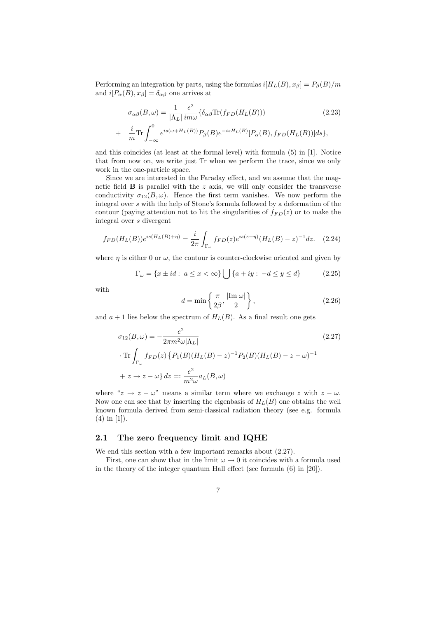Performing an integration by parts, using the formulas  $i[H_L(B), x_\beta] = P_\beta(B)/m$ and  $i[P_{\alpha}(B), x_{\beta}] = \delta_{\alpha\beta}$  one arrives at

$$
\sigma_{\alpha\beta}(B,\omega) = \frac{1}{|\Lambda_L|} \frac{e^2}{im\omega} \{ \delta_{\alpha\beta} \text{Tr}(f_{FD}(H_L(B)))
$$
\n
$$
+ \frac{i}{m} \text{Tr} \int_{-\infty}^0 e^{is(\omega + H_L(B))} P_{\beta}(B) e^{-isH_L(B)} [P_{\alpha}(B), f_{FD}(H_L(B))] ds \},
$$
\n(2.23)

and this coincides (at least at the formal level) with formula (5) in [1]. Notice that from now on, we write just Tr when we perform the trace, since we only work in the one-particle space.

Since we are interested in the Faraday effect, and we assume that the magnetic field  $\bf{B}$  is parallel with the  $z$  axis, we will only consider the transverse conductivity  $\sigma_{12}(B,\omega)$ . Hence the first term vanishes. We now perform the integral over s with the help of Stone's formula followed by a deformation of the contour (paying attention not to hit the singularities of  $f_{FD}(z)$  or to make the integral over s divergent

$$
f_{FD}(H_L(B))e^{is(H_L(B)+\eta)} = \frac{i}{2\pi} \int_{\Gamma_{\omega}} f_{FD}(z)e^{is(z+\eta)}(H_L(B)-z)^{-1}dz.
$$
 (2.24)

where  $\eta$  is either 0 or  $\omega$ , the contour is counter-clockwise oriented and given by

$$
\Gamma_{\omega} = \{x \pm id : \ a \le x < \infty\} \bigcup \{a + iy : \ -d \le y \le d\} \tag{2.25}
$$

with

$$
d = \min\left\{\frac{\pi}{2\beta}, \frac{|\text{Im }\omega|}{2}\right\},\tag{2.26}
$$

and  $a + 1$  lies below the spectrum of  $H_L(B)$ . As a final result one gets

$$
\sigma_{12}(B,\omega) = -\frac{e^2}{2\pi m^2 \omega |\Lambda_L|}
$$
  
\n
$$
\cdot \operatorname{Tr} \int_{\Gamma_{\omega}} f_{FD}(z) \left\{ P_1(B)(H_L(B) - z)^{-1} P_2(B)(H_L(B) - z - \omega)^{-1} \right\}
$$
  
\n
$$
+ z \to z - \omega \} dz =: \frac{e^2}{m^2 \omega} a_L(B,\omega)
$$
\n(2.27)

where " $z \rightarrow z - \omega$ " means a similar term where we exchange z with  $z - \omega$ . Now one can see that by inserting the eigenbasis of  $H_L(B)$  one obtains the well known formula derived from semi-classical radiation theory (see e.g. formula (4) in [1]).

#### 2.1 The zero frequency limit and IQHE

We end this section with a few important remarks about  $(2.27)$ .

First, one can show that in the limit  $\omega \to 0$  it coincides with a formula used in the theory of the integer quantum Hall effect (see formula (6) in [20]).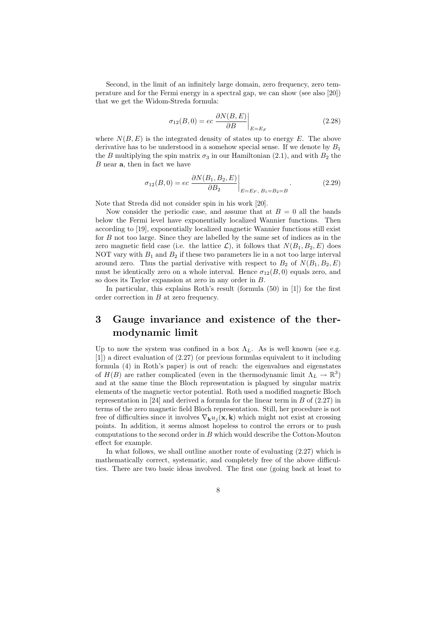Second, in the limit of an infinitely large domain, zero frequency, zero temperature and for the Fermi energy in a spectral gap, we can show (see also [20]) that we get the Widom-Streda formula:

$$
\sigma_{12}(B,0) = ec \left. \frac{\partial N(B,E)}{\partial B} \right|_{E=E_F}
$$
\n(2.28)

where  $N(B, E)$  is the integrated density of states up to energy E. The above derivative has to be understood in a somehow special sense. If we denote by  $B_1$ the B multiplying the spin matrix  $\sigma_3$  in our Hamiltonian (2.1), and with  $B_2$  the  $B$  near  $a$ , then in fact we have

$$
\sigma_{12}(B,0) = ec \left. \frac{\partial N(B_1, B_2, E)}{\partial B_2} \right|_{E=E_F, B_1 = B_2 = B}.
$$
\n(2.29)

Note that Streda did not consider spin in his work [20].

Now consider the periodic case, and assume that at  $B = 0$  all the bands below the Fermi level have exponentially localized Wannier functions. Then according to [19], exponentially localized magnetic Wannier functions still exist for B not too large. Since they are labelled by the same set of indices as in the zero magnetic field case (i.e. the lattice  $\mathcal{L}$ ), it follows that  $N(B_1, B_2, E)$  does NOT vary with  $B_1$  and  $B_2$  if these two parameters lie in a not too large interval around zero. Thus the partial derivative with respect to  $B_2$  of  $N(B_1, B_2, E)$ must be identically zero on a whole interval. Hence  $\sigma_{12}(B,0)$  equals zero, and so does its Taylor expansion at zero in any order in B.

In particular, this explains Roth's result (formula (50) in [1]) for the first order correction in B at zero frequency.

## 3 Gauge invariance and existence of the thermodynamic limit

Up to now the system was confined in a box  $\Lambda_L$ . As is well known (see e.g. [1]) a direct evaluation of (2.27) (or previous formulas equivalent to it including formula (4) in Roth's paper) is out of reach: the eigenvalues and eigenstates of  $H(B)$  are rather complicated (even in the thermodynamic limit  $\Lambda_L \to \mathbb{R}^3$ ) and at the same time the Bloch representation is plagued by singular matrix elements of the magnetic vector potential. Roth used a modified magnetic Bloch representation in [24] and derived a formula for the linear term in  $B$  of (2.27) in terms of the zero magnetic field Bloch representation. Still, her procedure is not free of difficulties since it involves  $\nabla_{\mathbf{k}} u_i(\mathbf{x}, \mathbf{k})$  which might not exist at crossing points. In addition, it seems almost hopeless to control the errors or to push computations to the second order in B which would describe the Cotton-Mouton effect for example.

In what follows, we shall outline another route of evaluating (2.27) which is mathematically correct, systematic, and completely free of the above difficulties. There are two basic ideas involved. The first one (going back at least to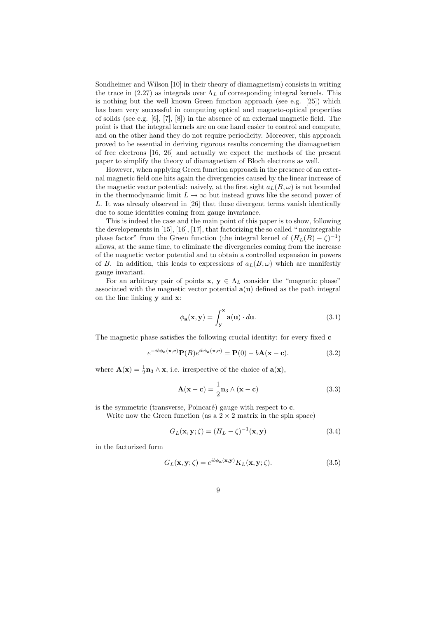Sondheimer and Wilson [10] in their theory of diamagnetism) consists in writing the trace in (2.27) as integrals over  $\Lambda_L$  of corresponding integral kernels. This is nothing but the well known Green function approach (see e.g. [25]) which has been very successful in computing optical and magneto-optical properties of solids (see e.g. [6], [7], [8]) in the absence of an external magnetic field. The point is that the integral kernels are on one hand easier to control and compute, and on the other hand they do not require periodicity. Moreover, this approach proved to be essential in deriving rigorous results concerning the diamagnetism of free electrons [16, 26] and actually we expect the methods of the present paper to simplify the theory of diamagnetism of Bloch electrons as well.

However, when applying Green function approach in the presence of an external magnetic field one hits again the divergencies caused by the linear increase of the magnetic vector potential: naively, at the first sight  $a_L(B, \omega)$  is not bounded in the thermodynamic limit  $L \to \infty$  but instead grows like the second power of L. It was already observed in [26] that these divergent terms vanish identically due to some identities coming from gauge invariance.

This is indeed the case and the main point of this paper is to show, following the developements in [15], [16], [17], that factorizing the so called " nonintegrable phase factor" from the Green function (the integral kernel of  $(H_L(B) - \zeta)^{-1}$ ) allows, at the same time, to eliminate the divergencies coming from the increase of the magnetic vector potential and to obtain a controlled expansion in powers of B. In addition, this leads to expressions of  $a_L(B,\omega)$  which are manifestly gauge invariant.

For an arbitrary pair of points  $\mathbf{x}, \mathbf{y} \in \Lambda_L$  consider the "magnetic phase" associated with the magnetic vector potential  $a(u)$  defined as the path integral on the line linking y and x:

$$
\phi_{\mathbf{a}}(\mathbf{x}, \mathbf{y}) = \int_{\mathbf{y}}^{\mathbf{x}} \mathbf{a}(\mathbf{u}) \cdot d\mathbf{u}.
$$
 (3.1)

The magnetic phase satisfies the following crucial identity: for every fixed c

$$
e^{-ib\phi_{\mathbf{a}}(\mathbf{x}, \mathbf{c})} \mathbf{P}(B) e^{ib\phi_{\mathbf{a}}(\mathbf{x}, \mathbf{c})} = \mathbf{P}(0) - b\mathbf{A}(\mathbf{x} - \mathbf{c}). \tag{3.2}
$$

where  $\mathbf{A}(\mathbf{x}) = \frac{1}{2}\mathbf{n}_3 \wedge \mathbf{x}$ , i.e. irrespective of the choice of  $\mathbf{a}(\mathbf{x})$ ,

$$
\mathbf{A}(\mathbf{x} - \mathbf{c}) = \frac{1}{2} \mathbf{n}_3 \wedge (\mathbf{x} - \mathbf{c}) \tag{3.3}
$$

is the symmetric (transverse, Poincaré) gauge with respect to  $c$ .

Write now the Green function (as a  $2 \times 2$  matrix in the spin space)

$$
G_L(\mathbf{x}, \mathbf{y}; \zeta) = (H_L - \zeta)^{-1}(\mathbf{x}, \mathbf{y})
$$
\n(3.4)

in the factorized form

$$
G_L(\mathbf{x}, \mathbf{y}; \zeta) = e^{ib\phi_\mathbf{a}(\mathbf{x}, \mathbf{y})} K_L(\mathbf{x}, \mathbf{y}; \zeta).
$$
 (3.5)

9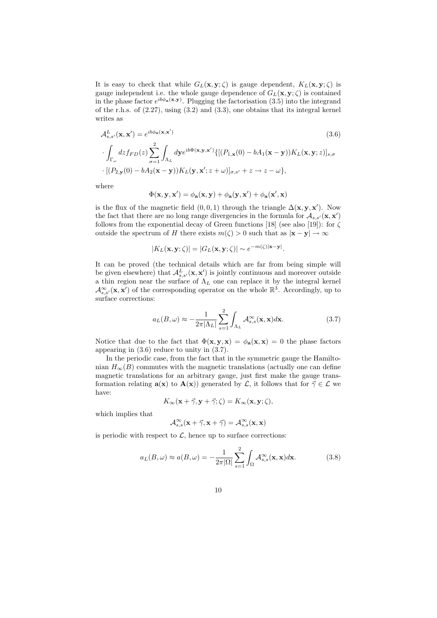It is easy to check that while  $G_L(\mathbf{x}, \mathbf{y}; \zeta)$  is gauge dependent,  $K_L(\mathbf{x}, \mathbf{y}; \zeta)$  is gauge independent i.e. the whole gauge dependence of  $G_L(\mathbf{x}, \mathbf{y}; \zeta)$  is contained in the phase factor  $e^{ib\phi_{\bf a}({\bf x},{\bf y})}$ . Plugging the factorisation (3.5) into the integrand of the r.h.s. of (2.27), using (3.2) and (3.3), one obtains that its integral kernel writes as

$$
\mathcal{A}_{s,s'}^{L}(\mathbf{x}, \mathbf{x'}) = e^{ib\phi_{\mathbf{a}}(\mathbf{x}, \mathbf{x'})}
$$
(3.6)  

$$
\int_{\Gamma_{\omega}} dz f_{FD}(z) \sum_{\sigma=1}^{2} \int_{\Lambda_{L}} d\mathbf{y} e^{ib\Phi(\mathbf{x}, \mathbf{y}, \mathbf{x'})} \{[(P_{1,\mathbf{x}}(0) - bA_{1}(\mathbf{x} - \mathbf{y}))K_{L}(\mathbf{x}, \mathbf{y}; z)]_{s,\sigma}
$$
  

$$
\cdot [(P_{2,\mathbf{y}}(0) - bA_{2}(\mathbf{x} - \mathbf{y}))K_{L}(\mathbf{y}, \mathbf{x}'; z + \omega)]_{\sigma, s'} + z \to z - \omega \},
$$
(3.6)

where

$$
\Phi(\mathbf{x},\mathbf{y},\mathbf{x}') = \phi_\mathbf{a}(\mathbf{x},\mathbf{y}) + \phi_\mathbf{a}(\mathbf{y},\mathbf{x}') + \phi_\mathbf{a}(\mathbf{x}',\mathbf{x})
$$

is the flux of the magnetic field  $(0,0,1)$  through the triangle  $\Delta(\mathbf{x}, \mathbf{y}, \mathbf{x}')$ . Now the fact that there are no long range divergencies in the formula for  $\mathcal{A}_{s,s'}(\mathbf{x}, \mathbf{x}')$ follows from the exponential decay of Green functions [18] (see also [19]): for  $\zeta$ outside the spectrum of H there exists  $m(\zeta) > 0$  such that as  $|\mathbf{x} - \mathbf{y}| \to \infty$ 

$$
|K_L(\mathbf{x}, \mathbf{y}; \zeta)| = |G_L(\mathbf{x}, \mathbf{y}; \zeta)| \sim e^{-m(\zeta)|\mathbf{x} - \mathbf{y}|}.
$$

It can be proved (the technical details which are far from being simple will be given elsewhere) that  $\mathcal{A}_{s,s'}^L(\mathbf{x}, \mathbf{x'})$  is jointly continuous and moreover outside a thin region near the surface of  $\Lambda_L$  one can replace it by the integral kernel  $\mathcal{A}^{\infty}_{s,s'}(\mathbf{x},\mathbf{x}')$  of the corresponding operator on the whole  $\mathbb{R}^3$ . Accordingly, up to surface corrections:

$$
a_L(B,\omega) \approx -\frac{1}{2\pi|\Lambda_L|} \sum_{s=1}^2 \int_{\Lambda_L} \mathcal{A}_{s,s}^{\infty}(\mathbf{x}, \mathbf{x}) d\mathbf{x}.
$$
 (3.7)

Notice that due to the fact that  $\Phi(\mathbf{x}, \mathbf{y}, \mathbf{x}) = \phi_{\mathbf{a}}(\mathbf{x}, \mathbf{x}) = 0$  the phase factors appearing in (3.6) reduce to unity in (3.7).

In the periodic case, from the fact that in the symmetric gauge the Hamiltonian  $H_{\infty}(B)$  commutes with the magnetic translations (actually one can define magnetic translations for an arbitrary gauge, just first make the gauge transformation relating  $\mathbf{a}(\mathbf{x})$  to  $\mathbf{A}(\mathbf{x})$  generated by  $\mathcal{L}$ , it follows that for  $\vec{\gamma} \in \mathcal{L}$  we have:

$$
K_{\infty}(\mathbf{x} + \vec{\gamma}, \mathbf{y} + \vec{\gamma}; \zeta) = K_{\infty}(\mathbf{x}, \mathbf{y}; \zeta),
$$

which implies that

$$
\mathcal{A}_{s,s}^{\infty}(\mathbf{x}+\vec{\gamma}, \mathbf{x}+\vec{\gamma})=\mathcal{A}_{s,s}^{\infty}(\mathbf{x}, \mathbf{x})
$$

is periodic with respect to  $\mathcal{L}$ , hence up to surface corrections:

$$
a_L(B,\omega) \approx a(B,\omega) = -\frac{1}{2\pi|\Omega|} \sum_{s=1}^2 \int_{\Omega} \mathcal{A}_{s,s}^{\infty}(\mathbf{x}, \mathbf{x}) d\mathbf{x}.
$$
 (3.8)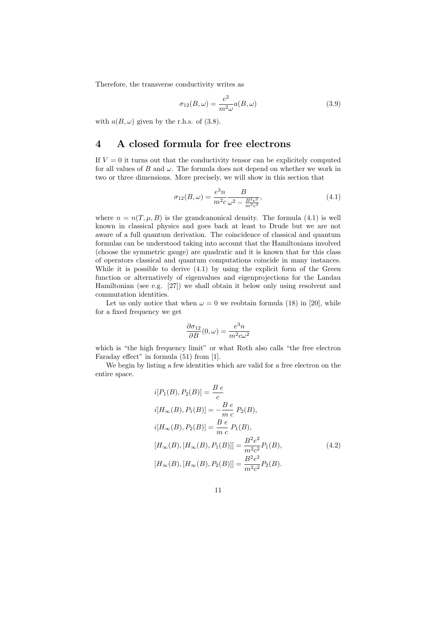Therefore, the transverse conductivity writes as

$$
\sigma_{12}(B,\omega) = \frac{e^2}{m^2 \omega} a(B,\omega)
$$
\n(3.9)

with  $a(B, \omega)$  given by the r.h.s. of (3.8).

## 4 A closed formula for free electrons

If  $V = 0$  it turns out that the conductivity tensor can be explicitely computed for all values of B and  $\omega$ . The formula does not depend on whether we work in two or three dimensions. More precisely, we will show in this section that

$$
\sigma_{12}(B,\omega) = \frac{e^3 n}{m^2 c} \frac{B}{\omega^2 - \frac{B^2 e^2}{m^2 c^2}},\tag{4.1}
$$

where  $n = n(T, \mu, B)$  is the grandcanonical density. The formula (4.1) is well known in classical physics and goes back at least to Drude but we are not aware of a full quantum derivation. The coincidence of classical and quantum formulas can be understood taking into account that the Hamiltonians involved (choose the symmetric gauge) are quadratic and it is known that for this class of operators classical and quantum computations coincide in many instances. While it is possible to derive (4.1) by using the explicit form of the Green function or alternatively of eigenvalues and eigenprojections for the Landau Hamiltonian (see e.g. [27]) we shall obtain it below only using resolvent and commutation identities.

Let us only notice that when  $\omega = 0$  we reobtain formula (18) in [20], while for a fixed frequency we get

$$
\frac{\partial \sigma_{12}}{\partial B}(0,\omega) = \frac{e^3 n}{m^2 c \omega^2}
$$

which is "the high frequency limit" or what Roth also calls "the free electron Faraday effect" in formula (51) from [1].

We begin by listing a few identities which are valid for a free electron on the entire space.

$$
i[P_1(B), P_2(B)] = \frac{B e}{c}
$$
  
\n
$$
i[H_{\infty}(B), P_1(B)] = -\frac{B e}{mc} P_2(B),
$$
  
\n
$$
i[H_{\infty}(B), P_2(B)] = \frac{B e}{mc} P_1(B),
$$
  
\n
$$
[H_{\infty}(B), [H_{\infty}(B), P_1(B)]] = \frac{B^2 e^2}{m^2 c^2} P_1(B),
$$
  
\n
$$
[H_{\infty}(B), [H_{\infty}(B), P_2(B)]] = \frac{B^2 e^2}{m^2 c^2} P_2(B).
$$
\n(4.2)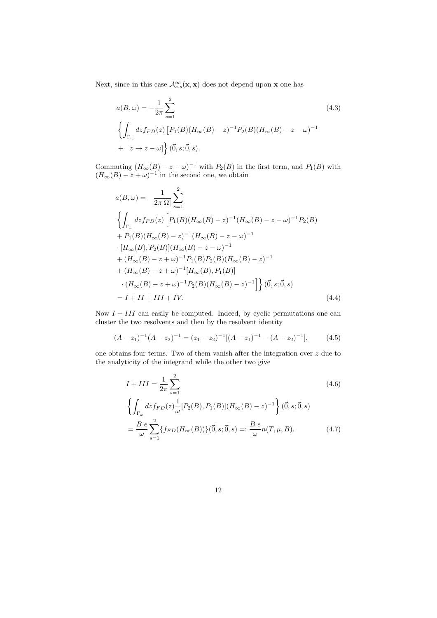Next, since in this case  $\mathcal{A}^{\infty}_{s,s}(\mathbf{x}, \mathbf{x})$  does not depend upon **x** one has

$$
a(B,\omega) = -\frac{1}{2\pi} \sum_{s=1}^{2} (4.3)
$$
  

$$
\left\{ \int_{\Gamma_{\omega}} dz f_{FD}(z) \left[ P_1(B)(H_{\infty}(B) - z)^{-1} P_2(B)(H_{\infty}(B) - z - \omega)^{-1} + z \to z - \omega \right] \right\} (\vec{0},s;\vec{0},s).
$$
 (4.3)

Commuting  $(H_{\infty}(B) - z - \omega)^{-1}$  with  $P_2(B)$  in the first term, and  $P_1(B)$  with  $(H_{\infty}(B) - z + \omega)^{-1}$  in the second one, we obtain

$$
a(B,\omega) = -\frac{1}{2\pi|\Omega|} \sum_{s=1}^{2}
$$
  
\n
$$
\left\{ \int_{\Gamma_{\omega}} dz f_{FD}(z) \left[ P_1(B)(H_{\infty}(B) - z)^{-1} (H_{\infty}(B) - z - \omega)^{-1} P_2(B) \right. \right.\n+ P_1(B)(H_{\infty}(B) - z)^{-1} (H_{\infty}(B) - z - \omega)^{-1}\n\cdot [H_{\infty}(B), P_2(B)] (H_{\infty}(B) - z - \omega)^{-1}\n+ (H_{\infty}(B) - z + \omega)^{-1} P_1(B) P_2(B) (H_{\infty}(B) - z)^{-1}\n+ (H_{\infty}(B) - z + \omega)^{-1} [H_{\infty}(B), P_1(B)]\n\cdot (H_{\infty}(B) - z + \omega)^{-1} P_2(B) (H_{\infty}(B) - z)^{-1} \right\} (\vec{0}, s; \vec{0}, s) \n= I + II + III + IV. \tag{4.4}
$$

Now  $I + III$  can easily be computed. Indeed, by cyclic permutations one can cluster the two resolvents and then by the resolvent identity

$$
(A - z1)-1(A - z2)-1 = (z1 - z2)-1[(A - z1)-1 - (A - z2)-1],
$$
(4.5)

one obtains four terms. Two of them vanish after the integration over z due to the analyticity of the integrand while the other two give

$$
I + III = \frac{1}{2\pi} \sum_{s=1}^{2} \tag{4.6}
$$
\n
$$
\left\{ \int_{\Gamma_{\omega}} dz f_{FD}(z) \frac{1}{\omega} [P_2(B), P_1(B)] (H_{\infty}(B) - z)^{-1} \right\} (\vec{0}, s; \vec{0}, s)
$$
\n
$$
= \frac{B e}{\omega} \sum_{s=1}^{2} \{ f_{FD}(H_{\infty}(B)) \} (\vec{0}, s; \vec{0}, s) =: \frac{B e}{\omega} n(T, \mu, B). \tag{4.7}
$$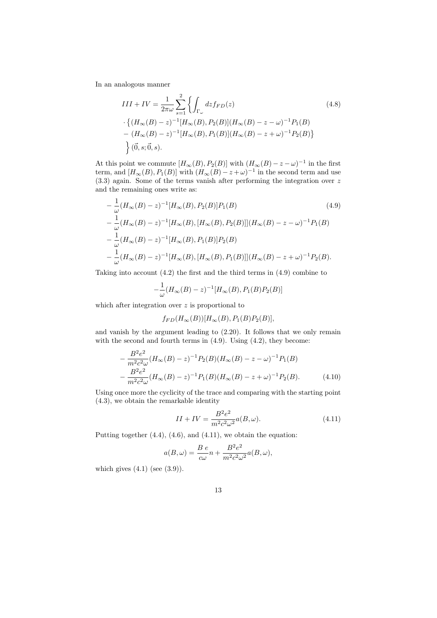In an analogous manner

$$
III + IV = \frac{1}{2\pi\omega} \sum_{s=1}^{2} \left\{ \int_{\Gamma_{\omega}} dz f_{FD}(z) \right\} (4.8)
$$
  
 
$$
\cdot \left\{ (H_{\infty}(B) - z)^{-1} [H_{\infty}(B), P_2(B)] (H_{\infty}(B) - z - \omega)^{-1} P_1(B) - (H_{\infty}(B) - z)^{-1} [H_{\infty}(B), P_1(B)] (H_{\infty}(B) - z + \omega)^{-1} P_2(B) \right\}
$$
  
 
$$
\left\} (\vec{0}, s; \vec{0}, s).
$$
 (4.8)

At this point we commute  $[H_{\infty}(B), P_2(B)]$  with  $(H_{\infty}(B) - z - \omega)^{-1}$  in the first term, and  $[H_{\infty}(B), P_1(B)]$  with  $(H_{\infty}(B) - z + \omega)^{-1}$  in the second term and use (3.3) again. Some of the terms vanish after performing the integration over z and the remaining ones write as:

$$
-\frac{1}{\omega}(H_{\infty}(B)-z)^{-1}[H_{\infty}(B), P_{2}(B)]P_{1}(B)
$$
\n
$$
-\frac{1}{\omega}(H_{\infty}(B)-z)^{-1}[H_{\infty}(B), [H_{\infty}(B), P_{2}(B)]](H_{\infty}(B)-z-\omega)^{-1}P_{1}(B)
$$
\n
$$
-\frac{1}{\omega}(H_{\infty}(B)-z)^{-1}[H_{\infty}(B), P_{1}(B)]P_{2}(B)
$$
\n
$$
-\frac{1}{\omega}(H_{\infty}(B)-z)^{-1}[H_{\infty}(B), [H_{\infty}(B), P_{1}(B)]](H_{\infty}(B)-z+\omega)^{-1}P_{2}(B).
$$
\n(4.9)

Taking into account (4.2) the first and the third terms in (4.9) combine to

$$
-\frac{1}{\omega}(H_{\infty}(B)-z)^{-1}[H_{\infty}(B), P_1(B)P_2(B)]
$$

which after integration over  $z$  is proportional to

$$
f_{FD}(H_{\infty}(B))[H_{\infty}(B), P_1(B)P_2(B)],
$$

and vanish by the argument leading to (2.20). It follows that we only remain with the second and fourth terms in  $(4.9)$ . Using  $(4.2)$ , they become:

$$
-\frac{B^2 e^2}{m^2 c^2 \omega} (H_\infty(B) - z)^{-1} P_2(B) (H_\infty(B) - z - \omega)^{-1} P_1(B)
$$
  

$$
-\frac{B^2 e^2}{m^2 c^2 \omega} (H_\infty(B) - z)^{-1} P_1(B) (H_\infty(B) - z + \omega)^{-1} P_2(B). \tag{4.10}
$$

Using once more the cyclicity of the trace and comparing with the starting point (4.3), we obtain the remarkable identity

$$
II + IV = \frac{B^2 e^2}{m^2 c^2 \omega^2} a(B, \omega).
$$
\n
$$
(4.11)
$$

Putting together  $(4.4)$ ,  $(4.6)$ , and  $(4.11)$ , we obtain the equation:

$$
a(B,\omega) = \frac{B e}{c\omega}n + \frac{B^2 e^2}{m^2 c^2 \omega^2} a(B,\omega),
$$

which gives  $(4.1)$  (see  $(3.9)$ ).

13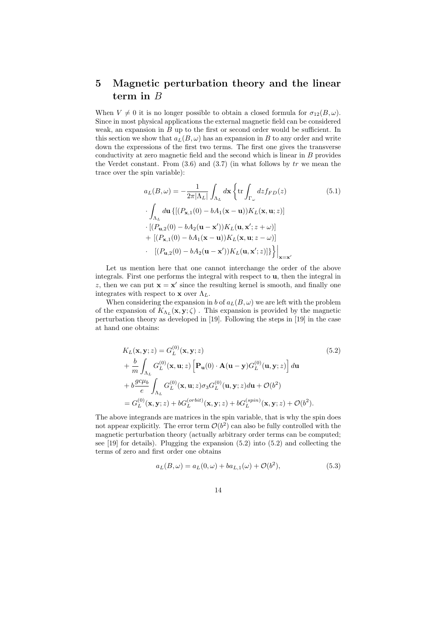# 5 Magnetic perturbation theory and the linear term in B

When  $V \neq 0$  it is no longer possible to obtain a closed formula for  $\sigma_{12}(B,\omega)$ . Since in most physical applications the external magnetic field can be considered weak, an expansion in  $B$  up to the first or second order would be sufficient. In this section we show that  $a_L(B, \omega)$  has an expansion in B to any order and write down the expressions of the first two terms. The first one gives the transverse conductivity at zero magnetic field and the second which is linear in  $B$  provides the Verdet constant. From  $(3.6)$  and  $(3.7)$  (in what follows by tr we mean the trace over the spin variable):

$$
a_L(B,\omega) = -\frac{1}{2\pi|\Lambda_L|} \int_{\Lambda_L} d\mathbf{x} \left\{ \operatorname{tr} \int_{\Gamma_{\omega}} dz f_{FD}(z) \right\}
$$
(5.1)  
\n
$$
\int_{\Lambda_L} d\mathbf{u} \left\{ \left[ (P_{\mathbf{x},1}(0) - bA_1(\mathbf{x} - \mathbf{u})) K_L(\mathbf{x}, \mathbf{u}; z) \right] \right\}
$$
  
\n
$$
\cdot \left[ (P_{\mathbf{u},2}(0) - bA_2(\mathbf{u} - \mathbf{x}')) K_L(\mathbf{u}, \mathbf{x}'; z + \omega) \right]
$$
  
\n
$$
+ \left[ (P_{\mathbf{x},1}(0) - bA_1(\mathbf{x} - \mathbf{u})) K_L(\mathbf{x}, \mathbf{u}; z - \omega) \right]
$$
  
\n
$$
\cdot \left[ (P_{\mathbf{u},2}(0) - bA_2(\mathbf{u} - \mathbf{x}')) K_L(\mathbf{u}, \mathbf{x}'; z) \right] \} \right\} \Big|_{\mathbf{x} = \mathbf{x}'}
$$

Let us mention here that one cannot interchange the order of the above integrals. First one performs the integral with respect to u, then the integral in z, then we can put  $\mathbf{x} = \mathbf{x}'$  since the resulting kernel is smooth, and finally one integrates with respect to **x** over  $\Lambda_L$ .

When considering the expansion in b of  $a_L(B, \omega)$  we are left with the problem of the expansion of  $K_{\Lambda_L}(\mathbf{x}, \mathbf{y}; \zeta)$ . This expansion is provided by the magnetic perturbation theory as developed in [19]. Following the steps in [19] in the case at hand one obtains:

$$
K_L(\mathbf{x}, \mathbf{y}; z) = G_L^{(0)}(\mathbf{x}, \mathbf{y}; z)
$$
(5.2)  
+  $\frac{b}{m} \int_{\Lambda_L} G_L^{(0)}(\mathbf{x}, \mathbf{u}; z) \left[ \mathbf{P}_{\mathbf{u}}(0) \cdot \mathbf{A}(\mathbf{u} - \mathbf{y}) G_L^{(0)}(\mathbf{u}, \mathbf{y}; z) \right] d\mathbf{u}$   
+  $b \frac{g c \mu_b}{e} \int_{\Lambda_L} G_L^{(0)}(\mathbf{x}, \mathbf{u}; z) \sigma_3 G_L^{(0)}(\mathbf{u}, \mathbf{y}; z) d\mathbf{u} + \mathcal{O}(b^2)$   
=  $G_L^{(0)}(\mathbf{x}, \mathbf{y}; z) + b G_L^{(orbit)}(\mathbf{x}, \mathbf{y}; z) + b G_L^{(spin)}(\mathbf{x}, \mathbf{y}; z) + \mathcal{O}(b^2).$  (5.2)

The above integrands are matrices in the spin variable, that is why the spin does not appear explicitly. The error term  $\mathcal{O}(b^2)$  can also be fully controlled with the magnetic perturbation theory (actually arbitrary order terms can be computed; see [19] for details). Plugging the expansion (5.2) into (5.2) and collecting the terms of zero and first order one obtains

$$
a_L(B,\omega) = a_L(0,\omega) + ba_{L,1}(\omega) + \mathcal{O}(b^2),
$$
\n(5.3)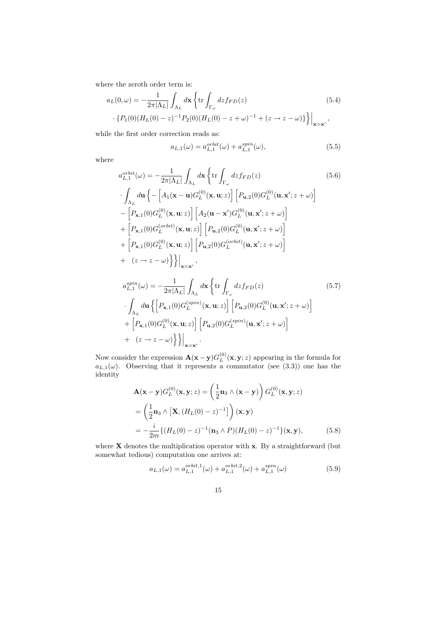where the zeroth order term is:

$$
a_L(0,\omega) = -\frac{1}{2\pi|\Lambda_L|} \int_{\Lambda_L} d\mathbf{x} \left\{ \text{tr} \int_{\Gamma_{\omega}} dz f_{FD}(z) \right. \qquad (5.4)
$$

$$
\left. \cdot \left\{ P_1(0) (H_L(0) - z)^{-1} P_2(0) (H_L(0) - z + \omega)^{-1} + (z \to z - \omega) \right\} \right\} \Big|_{\mathbf{x} = \mathbf{x}'} \,,
$$

while the first order correction reads as:

$$
a_{L,1}(\omega) = a_{L,1}^{orbit}(\omega) + a_{L,1}^{spin}(\omega),
$$
\n(5.5)

where

$$
a_{L,1}^{orbit}( \omega) = -\frac{1}{2\pi |\Lambda_L|} \int_{\Lambda_L} d\mathbf{x} \left\{ \text{tr} \int_{\Gamma_{\omega}} dz f_{FD}(z) \right.\n\left. \int_{\Lambda_L} d\mathbf{u} \left\{ -\left[ A_1(\mathbf{x} - \mathbf{u}) G_L^{(0)}(\mathbf{x}, \mathbf{u}; z) \right] \left[ P_{\mathbf{u},2}(0) G_L^{(0)}(\mathbf{u}, \mathbf{x}'; z + \omega) \right] \right.\n\left. -\left[ P_{\mathbf{x},1}(0) G_L^{(0)}(\mathbf{x}, \mathbf{u}; z) \right] \left[ A_2(\mathbf{u} - \mathbf{x}') G_L^{(0)}(\mathbf{u}, \mathbf{x}'; z + \omega) \right] \right.\n\left. + \left[ P_{\mathbf{x},1}(0) G_L^{(orbit)}(\mathbf{x}, \mathbf{u}; z) \right] \left[ P_{\mathbf{u},2}(0) G_L^{(0)}(\mathbf{u}, \mathbf{x}'; z + \omega) \right] \right.\n\left. + \left[ P_{\mathbf{x},1}(0) G_L^{(0)}(\mathbf{x}, \mathbf{u}; z) \right] \left[ P_{\mathbf{u},2}(0) G_L^{(orbit)}(\mathbf{u}, \mathbf{x}'; z + \omega) \right] \right.\n\left. + (z \to z - \omega) \right\} \right\} \Big|_{\mathbf{x} = \mathbf{x}'} ,
$$
\n
$$
a_{L,1}^{spin} (\omega) = -\frac{1}{2\pi |\Lambda_L|} \int_{\Lambda_L} d\mathbf{x} \left\{ \text{tr} \int_{\Gamma_{\omega}} dz f_{FD}(z) \right.\n\left. (5.7)
$$
\n
$$
\cdot \int_{\Lambda_L} d\mathbf{u} \left\{ \left[ P_{\mathbf{x},1}(0) G_L^{(spin)}(\mathbf{x}, \mathbf{u}; z) \right] \left[ P_{\mathbf{u},2}(0) G_L^{(0)}(\mathbf{u}, \mathbf{x}'; z + \omega) \right] \right.\n\left. + \left[ P_{\mathbf{x},1}(0) G_L^{(0)}(\mathbf{x}, \mathbf{u}; z) \right] \left[ P_{\mathbf{u},2}(0) G_L^{(spin)}(\mathbf{u}, \mathbf{x}'; z + \omega) \right] \right.\n\left. + (z
$$

Now consider the expression  $\mathbf{A}(\mathbf{x}-\mathbf{y})G_L^{(0)}(\mathbf{x}, \mathbf{y}; z)$  appearing in the formula for  $a_{L,1}(\omega)$ . Observing that it represents a commutator (see (3.3)) one has the identity

$$
\mathbf{A}(\mathbf{x} - \mathbf{y})G_L^{(0)}(\mathbf{x}, \mathbf{y}; z) = \left(\frac{1}{2}\mathbf{n}_3 \wedge (\mathbf{x} - \mathbf{y})\right)G_L^{(0)}(\mathbf{x}, \mathbf{y}; z)
$$

$$
= \left(\frac{1}{2}\mathbf{n}_3 \wedge \left[\mathbf{X}, \left(H_L(0) - z\right)^{-1}\right]\right)(\mathbf{x}, \mathbf{y})
$$

$$
= -\frac{i}{2m}\left\{\left(H_L(0) - z\right)^{-1}(\mathbf{n}_3 \wedge P)\left(H_L(0) - z\right)^{-1}\right\}(\mathbf{x}, \mathbf{y}),\tag{5.8}
$$

where  $X$  denotes the multiplication operator with  $x$ . By a straightforward (but somewhat tedious) computation one arrives at:

$$
a_{L,1}(\omega) = a_{L,1}^{orbit,1}(\omega) + a_{L,1}^{orbit,2}(\omega) + a_{L,1}^{spin}(\omega)
$$
\n(5.9)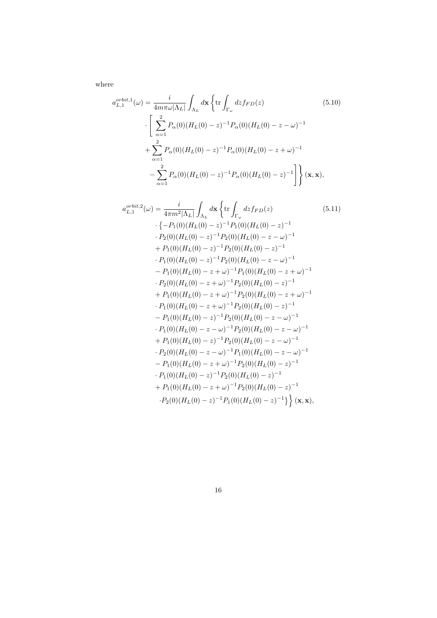where

$$
a_{L,1}^{orbit,1}(\omega) = \frac{i}{4m\pi\omega|\Lambda_L|} \int_{\Lambda_L} d\mathbf{x} \left\{ \text{tr} \int_{\Gamma_{\omega}} dz f_{FD}(z) \right.\n\left. \left[ \sum_{\alpha=1}^2 P_{\alpha}(0) (H_L(0) - z)^{-1} P_{\alpha}(0) (H_L(0) - z - \omega)^{-1} \right. \right. \\
\left. + \sum_{\alpha=1}^2 P_{\alpha}(0) (H_L(0) - z)^{-1} P_{\alpha}(0) (H_L(0) - z + \omega)^{-1} \right.\n\left. - \sum_{\alpha=1}^2 P_{\alpha}(0) (H_L(0) - z)^{-1} P_{\alpha}(0) (H_L(0) - z)^{-1} \right] \right\} (\mathbf{x}, \mathbf{x}),
$$
\n(5.10)

$$
a_{L,1}^{orbit,2}(\omega) = \frac{i}{4\pi m^2 |\Lambda_L|} \int_{\Lambda_L} d\mathbf{x} \left\{ \text{tr} \int_{\Gamma_{\omega}} dz f_{FD}(z) \right.\n\left. (5.11) \right.\n\cdot \left\{ -P_1(0)(H_L(0) - z)^{-1} P_1(0)(H_L(0) - z)^{-1} \right.\n\cdot P_2(0)(H_L(0) - z)^{-1} P_2(0)(H_L(0) - z - \omega)^{-1}\n+ P_1(0)(H_L(0) - z)^{-1} P_2(0)(H_L(0) - z)^{-1}\n\cdot P_1(0)(H_L(0) - z)^{-1} P_2(0)(H_L(0) - z - \omega)^{-1}\n- P_1(0)(H_L(0) - z + \omega)^{-1} P_1(0)(H_L(0) - z + \omega)^{-1}\n\cdot P_2(0)(H_L(0) - z + \omega)^{-1} P_2(0)(H_L(0) - z)^{-1}\n+ P_1(0)(H_L(0) - z + \omega)^{-1} P_2(0)(H_L(0) - z)^{-1}\n- P_1(0)(H_L(0) - z + \omega)^{-1} P_2(0)(H_L(0) - z)^{-1}\n- P_1(0)(H_L(0) - z)^{-1} P_2(0)(H_L(0) - z - \omega)^{-1}\n+ P_1(0)(H_L(0) - z - \omega)^{-1} P_2(0)(H_L(0) - z - \omega)^{-1}\n+ P_1(0)(H_L(0) - z - \omega)^{-1} P_2(0)(H_L(0) - z - \omega)^{-1}\n+ P_1(0)(H_L(0) - z + \omega)^{-1} P_2(0)(H_L(0) - z - \omega)^{-1}\n- P_1(0)(H_L(0) - z + \omega)^{-1} P_2(0)(H_L(0) - z - \omega)^{-1}\n- P_1(0)(H_L(0) - z + \omega)^{-1} P_2(0)(H_L(0) - z)^{-1}\n+ P_1(0)(H_L(0) - z)^{-1} P_2(0)(H_L(0) - z)^{-1}\n+ P_1(0)(H_L(0) - z)^{-1} P_2(0)(H_L(0) - z)^{-1}\n+ P_1(0)(H_L(0) - z)^{-1} P_2(0)(H_L(0) - z)^{-1}\
$$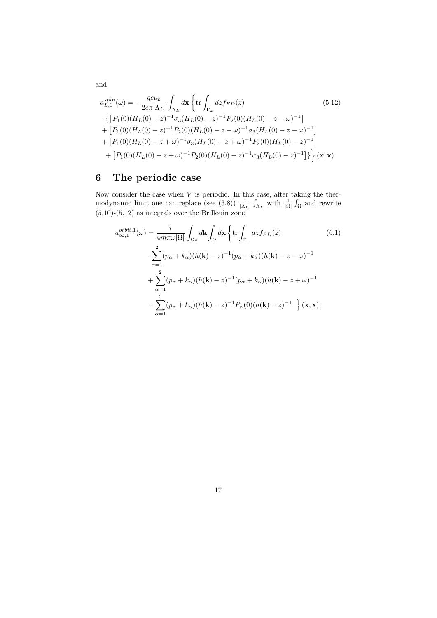$$
a_{L,1}^{spin}(\omega) = -\frac{g c \mu_b}{2e\pi |\Lambda_L|} \int_{\Lambda_L} d\mathbf{x} \left\{ \text{tr} \int_{\Gamma_{\omega}} dz f_{FD}(z) \right. \qquad (5.12)
$$
  
\n
$$
\cdot \left\{ \left[ P_1(0)(H_L(0) - z)^{-1} \sigma_3 (H_L(0) - z)^{-1} P_2(0)(H_L(0) - z - \omega)^{-1} \right] + \left[ P_1(0)(H_L(0) - z)^{-1} P_2(0)(H_L(0) - z - \omega)^{-1} \sigma_3 (H_L(0) - z - \omega)^{-1} \right] + \left[ P_1(0)(H_L(0) - z + \omega)^{-1} \sigma_3 (H_L(0) - z + \omega)^{-1} P_2(0)(H_L(0) - z)^{-1} \right] + \left[ P_1(0)(H_L(0) - z + \omega)^{-1} P_2(0)(H_L(0) - z)^{-1} \sigma_3 (H_L(0) - z)^{-1} \right] \right\} (\mathbf{x}, \mathbf{x}).
$$

# 6 The periodic case

Now consider the case when  $V$  is periodic. In this case, after taking the thermodynamic limit one can replace (see (3.8))  $\frac{1}{|\Lambda_L|} \int_{\Lambda_L}$  with  $\frac{1}{|\Omega|} \int_{\Omega}$  and rewrite (5.10)-(5.12) as integrals over the Brillouin zone

$$
a_{\infty,1}^{orbit,1}(\omega) = \frac{i}{4m\pi\omega|\Omega|} \int_{\Omega*} d\mathbf{k} \int_{\Omega} d\mathbf{x} \left\{ \text{tr} \int_{\Gamma_{\omega}} dz f_{FD}(z) \right. \qquad (6.1)
$$

$$
\cdot \sum_{\alpha=1}^{2} (p_{\alpha} + k_{\alpha})(h(\mathbf{k}) - z)^{-1} (p_{\alpha} + k_{\alpha})(h(\mathbf{k}) - z - \omega)^{-1}
$$

$$
+ \sum_{\alpha=1}^{2} (p_{\alpha} + k_{\alpha})(h(\mathbf{k}) - z)^{-1} (p_{\alpha} + k_{\alpha})(h(\mathbf{k}) - z + \omega)^{-1}
$$

$$
- \sum_{\alpha=1}^{2} (p_{\alpha} + k_{\alpha})(h(\mathbf{k}) - z)^{-1} P_{\alpha}(0)(h(\mathbf{k}) - z)^{-1} \right\} (\mathbf{x}, \mathbf{x}),
$$

17

and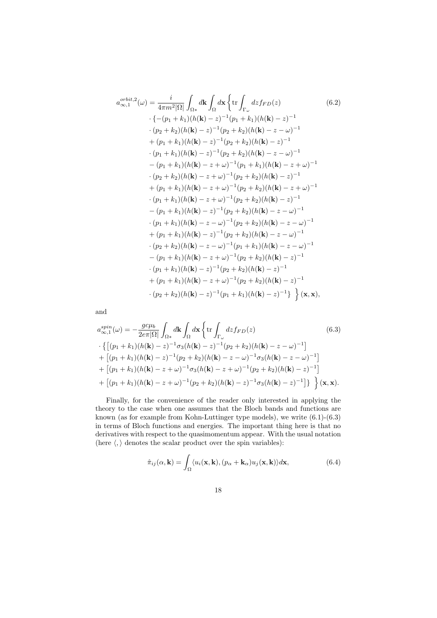$$
a_{\infty,1}^{orbit,2}(\omega) = \frac{i}{4\pi m^2 |\Omega|} \int_{\Omega*} d\mathbf{k} \int_{\Omega} d\mathbf{x} \left\{ \text{tr} \int_{\Gamma_{\omega}} dz f_{FD}(z) \right. \left. (6.2) \right. \left. \left. \left\{ -(p_1 + k_1)(h(\mathbf{k}) - z)^{-1}(p_1 + k_1)(h(\mathbf{k}) - z)^{-1} \right. \right. \left. (p_2 + k_2)(h(\mathbf{k}) - z)^{-1}(p_2 + k_2)(h(\mathbf{k}) - z - \omega)^{-1} \right. \right. \left. \left. (p_1 + k_1)(h(\mathbf{k}) - z)^{-1}(p_2 + k_2)(h(\mathbf{k}) - z)^{-1} \right. \left. (p_1 + k_1)(h(\mathbf{k}) - z)^{-1}(p_2 + k_2)(h(\mathbf{k}) - z - \omega)^{-1} \right. \left. \left. (p_1 + k_1)(h(\mathbf{k}) - z + \omega)^{-1}(p_1 + k_1)(h(\mathbf{k}) - z + \omega)^{-1} \right. \right. \left. (p_2 + k_2)(h(\mathbf{k}) - z + \omega)^{-1}(p_1 + k_1)(h(\mathbf{k}) - z + \omega)^{-1} \right. \left. \left. \left. (p_2 + k_2)(h(\mathbf{k}) - z + \omega)^{-1}(p_2 + k_2)(h(\mathbf{k}) - z)^{-1} \right. \right. \left. \left. (p_1 + k_1)(h(\mathbf{k}) - z + \omega)^{-1}(p_2 + k_2)(h(\mathbf{k}) - z - \omega)^{-1} \right. \right. \left. (p_1 + k_1)(h(\mathbf{k}) - z)^{-1}(p_2 + k_2)(h(\mathbf{k}) - z - \omega)^{-1} \right. \left. (p_1 + k_1)(h(\mathbf{k}) - z - \omega)^{-1}(p_2 + k_2)(h(\mathbf{k}) - z - \omega)^{-1} \right. \left. \left. (p_1 + k_1)(h(\mathbf{k}) - z - \omega)^{-1}(p_2 + k_2)(h(\mathbf{k}) - z - \omega)^{-1} \right. \left. (p_2 + k_2)(h(\mathbf{k}) - z - \omega)^{-1}(p_1 + k_1)(h(\mathbf{k}) - z - \omega)^{-1} \right. \left. (p_1 + k_1)(
$$

and

$$
a_{\infty,1}^{spin}(\omega) = -\frac{gc\mu_b}{2e\pi|\Omega|} \int_{\Omega*} d\mathbf{k} \int_{\Omega} d\mathbf{x} \left\{ \text{tr} \int_{\Gamma_{\omega}} dz f_{FD}(z) \right. \qquad (6.3)
$$
  
\n
$$
\cdot \left\{ \left[ (p_1 + k_1)(h(\mathbf{k}) - z)^{-1} \sigma_3(h(\mathbf{k}) - z)^{-1} (p_2 + k_2)(h(\mathbf{k}) - z - \omega)^{-1} \right] + \left[ (p_1 + k_1)(h(\mathbf{k}) - z)^{-1} (p_2 + k_2)(h(\mathbf{k}) - z - \omega)^{-1} \sigma_3(h(\mathbf{k}) - z - \omega)^{-1} \right] + \left[ (p_1 + k_1)(h(\mathbf{k}) - z + \omega)^{-1} \sigma_3(h(\mathbf{k}) - z + \omega)^{-1} (p_2 + k_2)(h(\mathbf{k}) - z)^{-1} \right] + \left[ (p_1 + k_1)(h(\mathbf{k}) - z + \omega)^{-1} (p_2 + k_2)(h(\mathbf{k}) - z)^{-1} \sigma_3(h(\mathbf{k}) - z)^{-1} \right] \right\} \left\{ (\mathbf{x}, \mathbf{x}).
$$

Finally, for the convenience of the reader only interested in applying the theory to the case when one assumes that the Bloch bands and functions are known (as for example from Kohn-Luttinger type models), we write (6.1)-(6.3) in terms of Bloch functions and energies. The important thing here is that no derivatives with respect to the quasimomentum appear. With the usual notation (here  $\langle,\rangle$  denotes the scalar product over the spin variables):

$$
\hat{\pi}_{ij}(\alpha, \mathbf{k}) = \int_{\Omega} \langle u_i(\mathbf{x}, \mathbf{k}), (p_\alpha + \mathbf{k}_\alpha) u_j(\mathbf{x}, \mathbf{k}) \rangle d\mathbf{x},\tag{6.4}
$$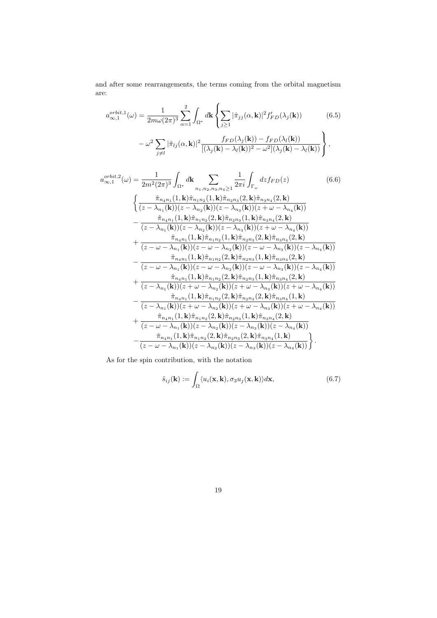and after some rearrangements, the terms coming from the orbital magnetism are:

$$
a_{\infty,1}^{orbit,1}(\omega) = \frac{1}{2m\omega(2\pi)^3} \sum_{\alpha=1}^2 \int_{\Omega^*} d\mathbf{k} \left\{ \sum_{j\geq 1} |\hat{\pi}_{jj}(\alpha, \mathbf{k})|^2 f'_{FD}(\lambda_j(\mathbf{k})) - \omega^2 \sum_{j\neq l} |\hat{\pi}_{lj}(\alpha, \mathbf{k})|^2 \frac{f_{FD}(\lambda_j(\mathbf{k})) - f_{FD}(\lambda_l(\mathbf{k}))}{[(\lambda_j(\mathbf{k}) - \lambda_l(\mathbf{k}))^2 - \omega^2](\lambda_j(\mathbf{k}) - \lambda_l(\mathbf{k}))} \right\},
$$
(6.5)

$$
a_{\infty,1}^{orbit,2}(\omega) = \frac{1}{2m^2(2\pi)^3} \int_{\Omega^*} d\mathbf{k} \sum_{n_1,n_2,n_3,n_4 \ge 1} \frac{1}{2\pi i} \int_{\Gamma_{\omega}} dz f_{FD}(z) \qquad (6.6)
$$

$$
\begin{cases} \frac{\hat{\pi}_{n_4n_1}(1,\mathbf{k})\hat{\pi}_{n_1n_2}(1,\mathbf{k})\hat{\pi}_{n_2n_3}(2,\mathbf{k})\hat{\pi}_{n_3n_4}(2,\mathbf{k})}{(z-\lambda_{n_1}(\mathbf{k}))(z-\lambda_{n_2}(\mathbf{k}))(z-\lambda_{n_3}(\mathbf{k}))(z+\omega-\lambda_{n_4}(\mathbf{k}))} \\ - \frac{\hat{\pi}_{n_4n_1}(1,\mathbf{k})\hat{\pi}_{n_1n_2}(2,\mathbf{k})\hat{\pi}_{n_2n_3}(1,\mathbf{k})\hat{\pi}_{n_3n_4}(2,\mathbf{k})}{(z-\lambda_{n_1}(\mathbf{k}))(z-\lambda_{n_2}(\mathbf{k}))(z-\lambda_{n_3}(\mathbf{k}))(z+\omega-\lambda_{n_4}(\mathbf{k}))} \\ + \frac{\hat{\pi}_{n_4n_1}(1,\mathbf{k})\hat{\pi}_{n_1n_2}(1,\mathbf{k})\hat{\pi}_{n_2n_3}(2,\mathbf{k})\hat{\pi}_{n_3n_4}(2,\mathbf{k})}{(z-\omega-\lambda_{n_1}(\mathbf{k}))(z-\omega-\lambda_{n_2}(\mathbf{k}))(z-\omega-\lambda_{n_3}(\mathbf{k}))(z-\lambda_{n_4}(\mathbf{k}))} \\ - \frac{\hat{\pi}_{n_4n_1}(1,\mathbf{k})\hat{\pi}_{n_1n_2}(2,\mathbf{k})\hat{\pi}_{n_2n_3}(1,\mathbf{k})\hat{\pi}_{n_3n_4}(2,\mathbf{k})}{(z-\omega-\lambda_{n_1}(\mathbf{k}))(z-\omega-\lambda_{n_2}(\mathbf{k}))(z-\omega-\lambda_{n_3}(\mathbf{k}))(z-\lambda_{n_4}(\mathbf{k}))} \\ + \frac{\hat{\pi}_{n_4n_1}(1,\mathbf{k})\hat{\pi}_{n_1n_2}(2,\mathbf{k})\hat{\pi}_{n_2n_3}(1,\mathbf{k})\hat{\pi}_{n_3n_4}(2,\mathbf{k})}{(z-\lambda_{n_1}(\mathbf{k}))(z+\omega-\lambda
$$

As for the spin contribution, with the notation

$$
\hat{s}_{ij}(\mathbf{k}) := \int_{\Omega} \langle u_i(\mathbf{x}, \mathbf{k}), \sigma_3 u_j(\mathbf{x}, \mathbf{k}) \rangle d\mathbf{x},\tag{6.7}
$$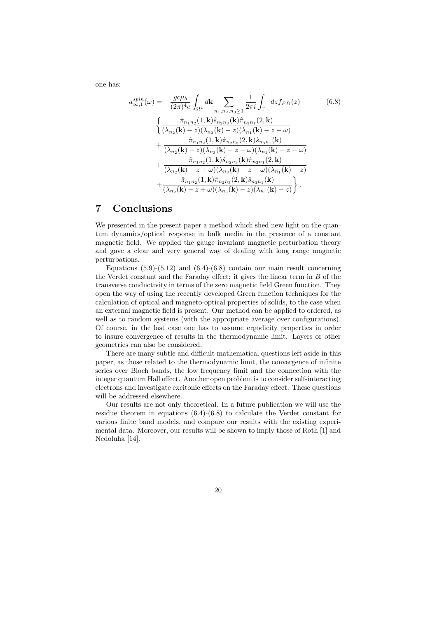one has:

$$
a_{\infty,1}^{spin}(\omega) = -\frac{gc\mu_b}{(2\pi)^4 e} \int_{\Omega^*} d\mathbf{k} \sum_{n_1, n_2, n_3 \ge 1} \frac{1}{2\pi i} \int_{\Gamma_{\omega}} dz f_{FD}(z) \qquad (6.8)
$$

$$
\begin{cases} \frac{\hat{\pi}_{n_1 n_2}(1, \mathbf{k}) \hat{s}_{n_2 n_3}(\mathbf{k}) \hat{\pi}_{n_3 n_1}(2, \mathbf{k})}{(\lambda_{n_2}(\mathbf{k}) - z)(\lambda_{n_3}(\mathbf{k}) - z)(\lambda_{n_1}(\mathbf{k}) - z - \omega)} \end{cases}
$$

$$
+ \frac{\hat{\pi}_{n_1 n_2}(1, \mathbf{k}) \hat{\pi}_{n_2 n_3}(2, \mathbf{k}) \hat{s}_{n_3 n_1}(\mathbf{k})}{(\lambda_{n_2}(\mathbf{k}) - z)(\lambda_{n_3}(\mathbf{k}) - z - \omega)(\lambda_{n_1}(\mathbf{k}) - z - \omega)} \qquad + \frac{\hat{\pi}_{n_1 n_2}(1, \mathbf{k}) \hat{s}_{n_2 n_3}(\mathbf{k}) \hat{\pi}_{n_3 n_1}(2, \mathbf{k})}{(\lambda_{n_2}(\mathbf{k}) - z + \omega)(\lambda_{n_3}(\mathbf{k}) - z + \omega)(\lambda_{n_1}(\mathbf{k}) - z)} \qquad + \frac{\hat{\pi}_{n_1 n_2}(1, \mathbf{k}) \hat{\pi}_{n_2 n_3}(2, \mathbf{k}) \hat{s}_{n_3 n_1}(\mathbf{k})}{(\lambda_{n_2}(\mathbf{k}) - z + \omega)(\lambda_{n_3}(\mathbf{k}) - z)(\lambda_{n_1}(\mathbf{k}) - z)} \end{cases}.
$$
(6.8)

### 7 Conclusions

We presented in the present paper a method which shed new light on the quantum dynamics/optical response in bulk media in the presence of a constant magnetic field. We applied the gauge invariant magnetic perturbation theory and gave a clear and very general way of dealing with long range magnetic perturbations.

Equations  $(5.9)-(5.12)$  and  $(6.4)-(6.8)$  contain our main result concerning the Verdet constant and the Faraday effect: it gives the linear term in  $B$  of the transverse conductivity in terms of the zero magnetic field Green function. They open the way of using the recently developed Green function techniques for the calculation of optical and magneto-optical properties of solids, to the case when an external magnetic field is present. Our method can be applied to ordered, as well as to random systems (with the appropriate average over configurations). Of course, in the last case one has to assume ergodicity properties in order to insure convergence of results in the thermodynamic limit. Layers or other geometries can also be considered.

There are many subtle and difficult mathematical questions left aside in this paper, as those related to the thermodynamic limit, the convergence of infinite series over Bloch bands, the low frequency limit and the connection with the integer quantum Hall effect. Another open problem is to consider self-interacting electrons and investigate excitonic effects on the Faraday effect. These questions will be addressed elsewhere.

Our results are not only theoretical. In a future publication we will use the residue theorem in equations (6.4)-(6.8) to calculate the Verdet constant for various finite band models, and compare our results with the existing experimental data. Moreover, our results will be shown to imply those of Roth [1] and Nedoluha [14].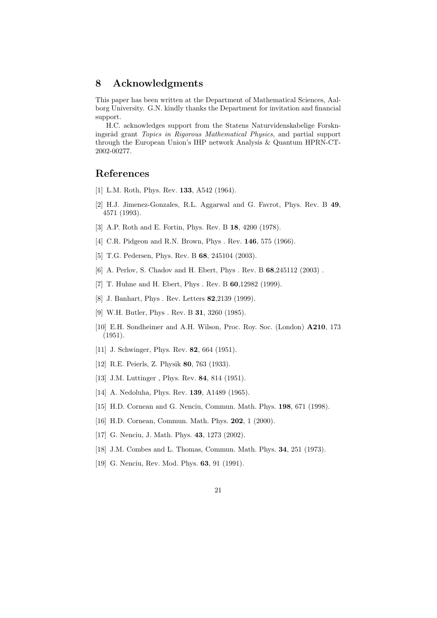## 8 Acknowledgments

This paper has been written at the Department of Mathematical Sciences, Aalborg University. G.N. kindly thanks the Department for invitation and financial support.

H.C. acknowledges support from the Statens Naturvidenskabelige Forskningsråd grant Topics in Rigorous Mathematical Physics, and partial support through the European Union's IHP network Analysis & Quantum HPRN-CT-2002-00277.

## References

- [1] L.M. Roth, Phys. Rev. 133, A542 (1964).
- [2] H.J. Jimenez-Gonzales, R.L. Aggarwal and G. Favrot, Phys. Rev. B 49, 4571 (1993).
- [3] A.P. Roth and E. Fortin, Phys. Rev. B 18, 4200 (1978).
- [4] C.R. Pidgeon and R.N. Brown, Phys. Rev. 146, 575 (1966).
- [5] T.G. Pedersen, Phys. Rev. B 68, 245104 (2003).
- [6] A. Perlov, S. Chadov and H. Ebert, Phys . Rev. B 68,245112 (2003).
- [7] T. Huhne and H. Ebert, Phys . Rev. B **60**, 12982 (1999).
- [8] J. Banhart, Phys. Rev. Letters **82**, 2139 (1999).
- [9] W.H. Butler, Phys . Rev. B 31, 3260 (1985).
- [10] E.H. Sondheimer and A.H. Wilson, Proc. Roy. Soc. (London) A210, 173 (1951).
- [11] J. Schwinger, Phys. Rev. **82**, 664 (1951).
- [12] R.E. Peierls, Z. Physik 80, 763 (1933).
- [13] J.M. Luttinger, Phys. Rev. **84**, 814 (1951).
- [14] A. Nedoluha, Phys. Rev. **139**, A1489 (1965).
- [15] H.D. Cornean and G. Nenciu, Commun. Math. Phys. **198**, 671 (1998).
- [16] H.D. Cornean, Commun. Math. Phys. **202**, 1 (2000).
- [17] G. Nenciu, J. Math. Phys. 43, 1273 (2002).
- [18] J.M. Combes and L. Thomas, Commun. Math. Phys. **34**, 251 (1973).
- [19] G. Nenciu, Rev. Mod. Phys. 63, 91 (1991).
	- 21